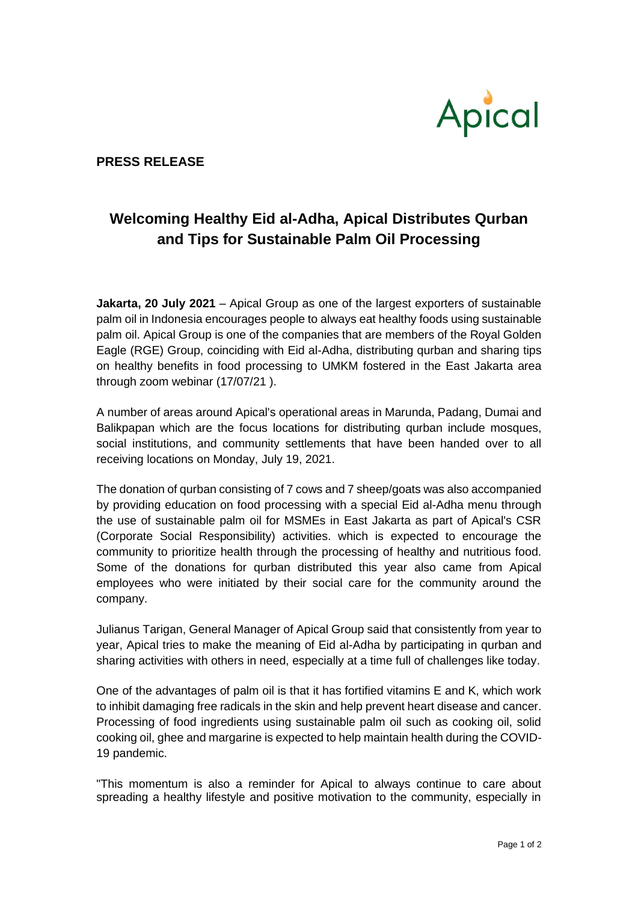

## **PRESS RELEASE**

## **Welcoming Healthy Eid al-Adha, Apical Distributes Qurban and Tips for Sustainable Palm Oil Processing**

**Jakarta, 20 July 2021** – Apical Group as one of the largest exporters of sustainable palm oil in Indonesia encourages people to always eat healthy foods using sustainable palm oil. Apical Group is one of the companies that are members of the Royal Golden Eagle (RGE) Group, coinciding with Eid al-Adha, distributing qurban and sharing tips on healthy benefits in food processing to UMKM fostered in the East Jakarta area through zoom webinar (17/07/21 ).

A number of areas around Apical's operational areas in Marunda, Padang, Dumai and Balikpapan which are the focus locations for distributing qurban include mosques, social institutions, and community settlements that have been handed over to all receiving locations on Monday, July 19, 2021.

The donation of qurban consisting of 7 cows and 7 sheep/goats was also accompanied by providing education on food processing with a special Eid al-Adha menu through the use of sustainable palm oil for MSMEs in East Jakarta as part of Apical's CSR (Corporate Social Responsibility) activities. which is expected to encourage the community to prioritize health through the processing of healthy and nutritious food. Some of the donations for qurban distributed this year also came from Apical employees who were initiated by their social care for the community around the company.

Julianus Tarigan, General Manager of Apical Group said that consistently from year to year, Apical tries to make the meaning of Eid al-Adha by participating in qurban and sharing activities with others in need, especially at a time full of challenges like today.

One of the advantages of palm oil is that it has fortified vitamins E and K, which work to inhibit damaging free radicals in the skin and help prevent heart disease and cancer. Processing of food ingredients using sustainable palm oil such as cooking oil, solid cooking oil, ghee and margarine is expected to help maintain health during the COVID-19 pandemic.

"This momentum is also a reminder for Apical to always continue to care about spreading a healthy lifestyle and positive motivation to the community, especially in